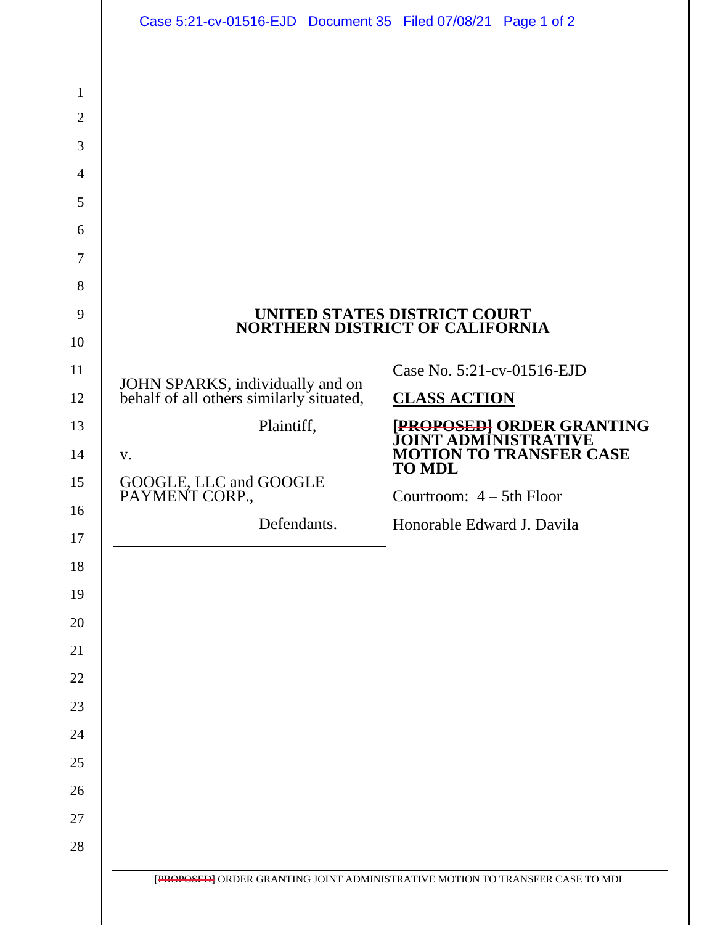|                                                                                     | Case 5:21-cv-01516-EJD Document 35 Filed 07/08/21 Page 1 of 2                |                                                                               |
|-------------------------------------------------------------------------------------|------------------------------------------------------------------------------|-------------------------------------------------------------------------------|
| $\mathbf{1}$<br>$\overline{2}$<br>3<br>$\overline{4}$<br>5<br>6<br>$\tau$<br>8<br>9 |                                                                              | UNITED STATES DISTRICT COURT<br>NORTHERN DISTRICT OF CALIFORNIA               |
| 10<br>11                                                                            |                                                                              | Case No. 5:21-cv-01516-EJD                                                    |
| 12                                                                                  | JOHN SPARKS, individually and on<br>behalf of all others similarly situated, | <b>CLASS ACTION</b>                                                           |
| 13                                                                                  | Plaintiff,                                                                   | [PROPOSED] ORDER GRANTING<br>JOINT ADMINISTRATIVE                             |
| 14                                                                                  | V.                                                                           | <b>MOTION TO TRANSFER CASE</b><br><b>TO MDL</b>                               |
| 15                                                                                  | GOOGLE, LLC and GOOGLE<br>PAYMENT CORP.,                                     | Courtroom: $4 - 5$ th Floor                                                   |
| 16<br>17                                                                            | Defendants.                                                                  | Honorable Edward J. Davila                                                    |
| 18                                                                                  |                                                                              |                                                                               |
| 19                                                                                  |                                                                              |                                                                               |
| 20                                                                                  |                                                                              |                                                                               |
| 21                                                                                  |                                                                              |                                                                               |
| 22                                                                                  |                                                                              |                                                                               |
| 23                                                                                  |                                                                              |                                                                               |
| 24                                                                                  |                                                                              |                                                                               |
| 25                                                                                  |                                                                              |                                                                               |
| 26                                                                                  |                                                                              |                                                                               |
| 27                                                                                  |                                                                              |                                                                               |
| 28                                                                                  |                                                                              |                                                                               |
|                                                                                     |                                                                              | [PROPOSED] ORDER GRANTING JOINT ADMINISTRATIVE MOTION TO TRANSFER CASE TO MDL |
|                                                                                     |                                                                              |                                                                               |